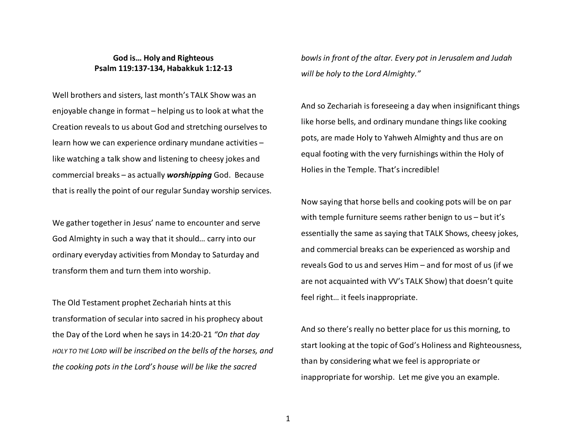## **God is… Holy and Righteous Psalm 119:137-134, Habakkuk 1:12-13**

Well brothers and sisters, last month's TALK Show was an enjoyable change in format – helping us to look at what the Creation reveals to us about God and stretching ourselves to learn how we can experience ordinary mundane activities – like watching a talk show and listening to cheesy jokes and commercial breaks – as actually *worshipping* God. Because that is really the point of our regular Sunday worship services.

We gather together in Jesus' name to encounter and serve God Almighty in such a way that it should… carry into our ordinary everyday activities from Monday to Saturday and transform them and turn them into worship.

The Old Testament prophet Zechariah hints at this transformation of secular into sacred in his prophecy about the Day of the Lord when he says in 14:20-21 *"On that day HOLY TO THE LORD will be inscribed on the bells of the horses, and the cooking pots in the Lord's house will be like the sacred* 

*bowls in front of the altar. Every pot in Jerusalem and Judah will be holy to the Lord Almighty."*

And so Zechariah is foreseeing a day when insignificant things like horse bells, and ordinary mundane things like cooking pots, are made Holy to Yahweh Almighty and thus are on equal footing with the very furnishings within the Holy of Holies in the Temple. That's incredible!

Now saying that horse bells and cooking pots will be on par with temple furniture seems rather benign to us – but it's essentially the same as saying that TALK Shows, cheesy jokes, and commercial breaks can be experienced as worship and reveals God to us and serves Him – and for most of us (if we are not acquainted with VV's TALK Show) that doesn't quite feel right… it feels inappropriate.

And so there's really no better place for us this morning, to start looking at the topic of God's Holiness and Righteousness, than by considering what we feel is appropriate or inappropriate for worship. Let me give you an example.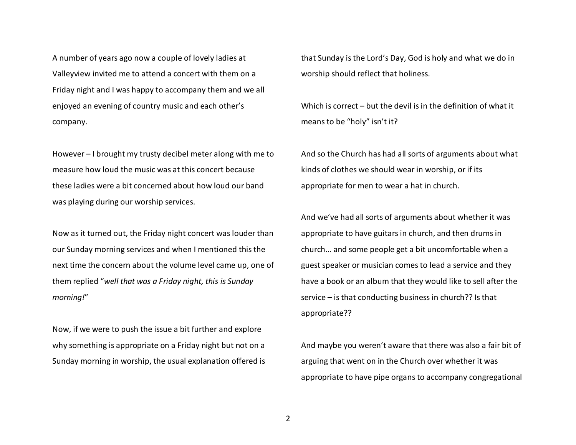A number of years ago now a couple of lovely ladies at Valleyview invited me to attend a concert with them on a Friday night and I was happy to accompany them and we all enjoyed an evening of country music and each other'scompany.

However – I brought my trusty decibel meter along with me to measure how loud the music was at this concert because these ladies were a bit concerned about how loud our band was playing during our worship services.

Now as it turned out, the Friday night concert was louder than our Sunday morning services and when I mentioned this the next time the concern about the volume level came up, one of them replied "*well that was a Friday night, this is Sunday morning!*"

Now, if we were to push the issue a bit further and explore why something is appropriate on a Friday night but not on a Sunday morning in worship, the usual explanation offered is that Sunday is the Lord's Day, God is holy and what we do in worship should reflect that holiness.

Which is correct – but the devil is in the definition of what it means to be "holy" isn't it?

And so the Church has had all sorts of arguments about what kinds of clothes we should wear in worship, or if its appropriate for men to wear a hat in church.

And we've had all sorts of arguments about whether it was appropriate to have guitars in church, and then drums in church… and some people get a bit uncomfortable when a guest speaker or musician comes to lead a service and they have a book or an album that they would like to sell after the service – is that conducting business in church?? Is that appropriate??

And maybe you weren't aware that there was also a fair bit of arguing that went on in the Church over whether it was appropriate to have pipe organs to accompany congregational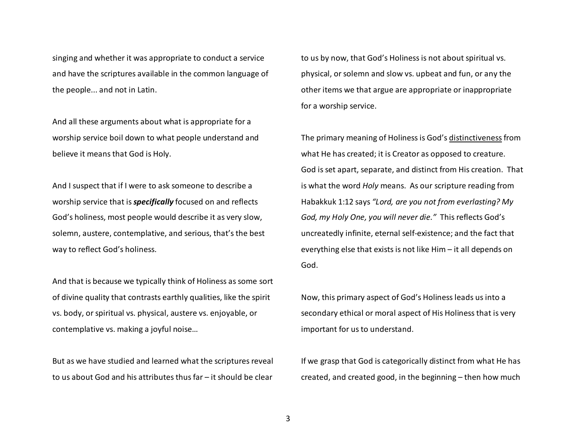singing and whether it was appropriate to conduct a service and have the scriptures available in the common language of the people... and not in Latin.

And all these arguments about what is appropriate for a worship service boil down to what people understand and believe it means that God is Holy.

And I suspect that if I were to ask someone to describe a worship service that is *specifically* focused on and reflects God's holiness, most people would describe it as very slow, solemn, austere, contemplative, and serious, that's the best way to reflect God's holiness.

And that is because we typically think of Holiness as some sort of divine quality that contrasts earthly qualities, like the spirit vs. body, or spiritual vs. physical, austere vs. enjoyable, or contemplative vs. making a joyful noise…

But as we have studied and learned what the scriptures reveal to us about God and his attributes thus far – it should be clear to us by now, that God's Holiness is not about spiritual vs. physical, or solemn and slow vs. upbeat and fun, or any the other items we that argue are appropriate or inappropriate for a worship service.

The primary meaning of Holiness is God's distinctiveness from what He has created; it is Creator as opposed to creature. God is set apart, separate, and distinct from His creation. That is what the word *Holy* means. As our scripture reading from Habakkuk 1:12 says *"Lord, are you not from everlasting? My God, my Holy One, you will never die."* This reflects God's uncreatedly infinite, eternal self-existence; and the fact that everything else that exists is not like Him – it all depends on God.

Now, this primary aspect of God's Holiness leads us into a secondary ethical or moral aspect of His Holiness that is very important for us to understand.

If we grasp that God is categorically distinct from what He has created, and created good, in the beginning – then how much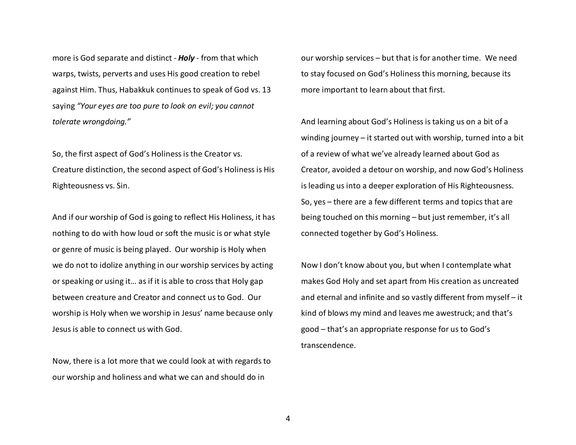more is God separate and distinct - *Holy* - from that which warps, twists, perverts and uses His good creation to rebel against Him. Thus, Habakkuk continues to speak of God vs. 13 saying *"Your eyes are too pure to look on evil; you cannottolerate wrongdoing."* 

So, the first aspect of God's Holiness is the Creator vs. Creature distinction, the second aspect of God's Holiness is His Righteousness vs. Sin.

And if our worship of God is going to reflect His Holiness, it has nothing to do with how loud or soft the music is or what style or genre of music is being played. Our worship is Holy when we do not to idolize anything in our worship services by acting or speaking or using it… as if it is able to cross that Holy gap between creature and Creator and connect us to God. Our worship is Holy when we worship in Jesus' name because only Jesus is able to connect us with God.

Now, there is a lot more that we could look at with regards to our worship and holiness and what we can and should do in

our worship services – but that is for another time. We need to stay focused on God's Holiness this morning, because its more important to learn about that first.

And learning about God's Holiness is taking us on a bit of a winding journey – it started out with worship, turned into a bit of a review of what we've already learned about God as Creator, avoided a detour on worship, and now God's Holiness is leading us into a deeper exploration of His Righteousness. So, yes – there are a few different terms and topics that are being touched on this morning – but just remember, it's all connected together by God's Holiness.

Now I don't know about you, but when I contemplate what makes God Holy and set apart from His creation as uncreated and eternal and infinite and so vastly different from myself – it kind of blows my mind and leaves me awestruck; and that's good – that's an appropriate response for us to God'stranscendence.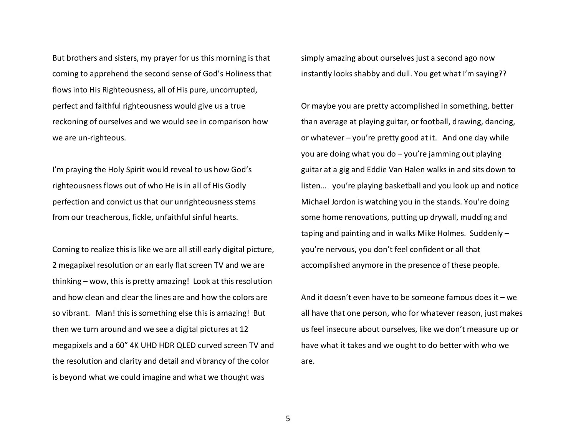But brothers and sisters, my prayer for us this morning is that coming to apprehend the second sense of God's Holiness that flows into His Righteousness, all of His pure, uncorrupted, perfect and faithful righteousness would give us a true reckoning of ourselves and we would see in comparison how we are un-righteous.

I'm praying the Holy Spirit would reveal to us how God's righteousness flows out of who He is in all of His Godly perfection and convict us that our unrighteousness stems from our treacherous, fickle, unfaithful sinful hearts.

Coming to realize this is like we are all still early digital picture, 2 megapixel resolution or an early flat screen TV and we are thinking – wow, this is pretty amazing! Look at this resolution and how clean and clear the lines are and how the colors are so vibrant. Man! this is something else this is amazing! But then we turn around and we see a digital pictures at 12 megapixels and a 60" 4K UHD HDR QLED curved screen TV and the resolution and clarity and detail and vibrancy of the color is beyond what we could imagine and what we thought was

simply amazing about ourselves just a second ago now instantly looks shabby and dull. You get what I'm saying??

Or maybe you are pretty accomplished in something, better than average at playing guitar, or football, drawing, dancing, or whatever – you're pretty good at it. And one day while you are doing what you do – you're jamming out playing guitar at a gig and Eddie Van Halen walks in and sits down to listen… you're playing basketball and you look up and notice Michael Jordon is watching you in the stands. You're doing some home renovations, putting up drywall, mudding and taping and painting and in walks Mike Holmes. Suddenly – you're nervous, you don't feel confident or all that accomplished anymore in the presence of these people.

And it doesn't even have to be someone famous does it – we all have that one person, who for whatever reason, just makes us feel insecure about ourselves, like we don't measure up or have what it takes and we ought to do better with who we are.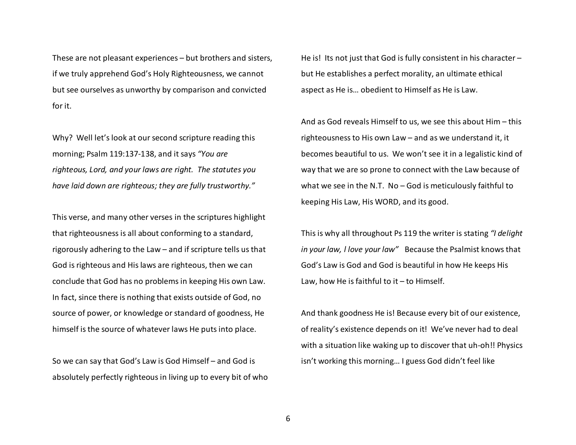These are not pleasant experiences – but brothers and sisters, if we truly apprehend God's Holy Righteousness, we cannot but see ourselves as unworthy by comparison and convicted for it.

Why? Well let's look at our second scripture reading this morning; Psalm 119:137-138, and it says *"You are righteous, Lord, and your laws are right. The statutes you have laid down are righteous; they are fully trustworthy."*

This verse, and many other verses in the scriptures highlight that righteousness is all about conforming to a standard, rigorously adhering to the Law – and if scripture tells us that God is righteous and His laws are righteous, then we can conclude that God has no problems in keeping His own Law. In fact, since there is nothing that exists outside of God, no source of power, or knowledge or standard of goodness, He himself is the source of whatever laws He puts into place.

So we can say that God's Law is God Himself – and God is absolutely perfectly righteous in living up to every bit of who He is! Its not just that God is fully consistent in his character – but He establishes a perfect morality, an ultimate ethical aspect as He is… obedient to Himself as He is Law.

And as God reveals Himself to us, we see this about Him – this righteousness to His own Law – and as we understand it, it becomes beautiful to us. We won't see it in a legalistic kind of way that we are so prone to connect with the Law because of what we see in the N.T. No – God is meticulously faithful to keeping His Law, His WORD, and its good.

This is why all throughout Ps 119 the writer is stating *"I delight in your law, l love your law"* Because the Psalmist knows that God's Law is God and God is beautiful in how He keeps His Law, how He is faithful to it – to Himself.

And thank goodness He is! Because every bit of our existence, of reality's existence depends on it! We've never had to deal with a situation like waking up to discover that uh-oh!! Physics isn't working this morning… I guess God didn't feel like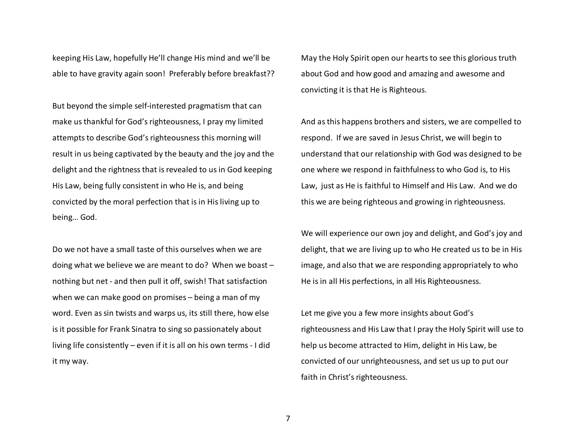keeping His Law, hopefully He'll change His mind and we'll be able to have gravity again soon! Preferably before breakfast??

But beyond the simple self-interested pragmatism that can make us thankful for God's righteousness, I pray my limited attempts to describe God's righteousness this morning will result in us being captivated by the beauty and the joy and the delight and the rightness that is revealed to us in God keeping His Law, being fully consistent in who He is, and being convicted by the moral perfection that is in His living up to being… God.

Do we not have a small taste of this ourselves when we are doing what we believe we are meant to do? When we boast – nothing but net - and then pull it off, swish! That satisfaction when we can make good on promises – being a man of my word. Even as sin twists and warps us, its still there, how else is it possible for Frank Sinatra to sing so passionately about living life consistently – even if it is all on his own terms - I did it my way.

May the Holy Spirit open our hearts to see this glorious truth about God and how good and amazing and awesome and convicting it is that He is Righteous.

And as this happens brothers and sisters, we are compelled to respond. If we are saved in Jesus Christ, we will begin to understand that our relationship with God was designed to be one where we respond in faithfulness to who God is, to His Law, just as He is faithful to Himself and His Law. And we do this we are being righteous and growing in righteousness.

We will experience our own joy and delight, and God's joy and delight, that we are living up to who He created us to be in His image, and also that we are responding appropriately to who He is in all His perfections, in all His Righteousness.

Let me give you a few more insights about God's righteousness and His Law that I pray the Holy Spirit will use to help us become attracted to Him, delight in His Law, be convicted of our unrighteousness, and set us up to put our faith in Christ's righteousness.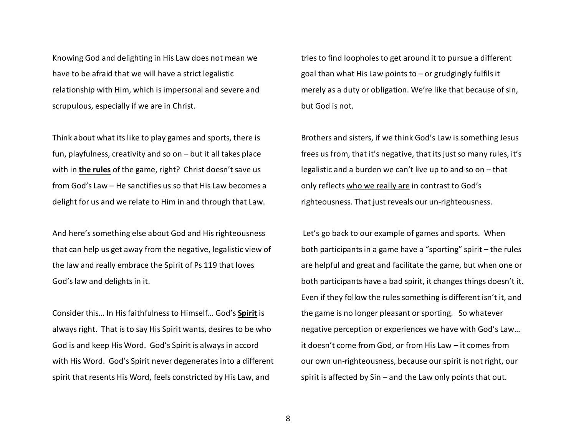Knowing God and delighting in His Law does not mean we have to be afraid that we will have a strict legalistic relationship with Him, which is impersonal and severe and scrupulous, especially if we are in Christ.

Think about what its like to play games and sports, there is fun, playfulness, creativity and so on – but it all takes place with in **the rules** of the game, right? Christ doesn't save us from God's Law – He sanctifies us so that His Law becomes a delight for us and we relate to Him in and through that Law.

And here's something else about God and His righteousness that can help us get away from the negative, legalistic view of the law and really embrace the Spirit of Ps 119 that loves God's law and delights in it.

Consider this… In His faithfulness to Himself… God's **Spirit** is always right. That is to say His Spirit wants, desires to be who God is and keep His Word. God's Spirit is always in accord with His Word. God's Spirit never degenerates into a different spirit that resents His Word, feels constricted by His Law, and

tries to find loopholes to get around it to pursue a different goal than what His Law points to  $-$  or grudgingly fulfils it merely as a duty or obligation. We're like that because of sin, but God is not.

Brothers and sisters, if we think God's Law is something Jesus frees us from, that it's negative, that its just so many rules, it's legalistic and a burden we can't live up to and so on – that only reflects who we really are in contrast to God'srighteousness. That just reveals our un-righteousness.

 Let's go back to our example of games and sports. When both participants in a game have a "sporting" spirit – the rules are helpful and great and facilitate the game, but when one or both participants have a bad spirit, it changes things doesn't it. Even if they follow the rules something is different isn't it, and the game is no longer pleasant or sporting. So whatever negative perception or experiences we have with God's Law… it doesn't come from God, or from His Law – it comes from our own un-righteousness, because our spirit is not right, our spirit is affected by Sin – and the Law only points that out.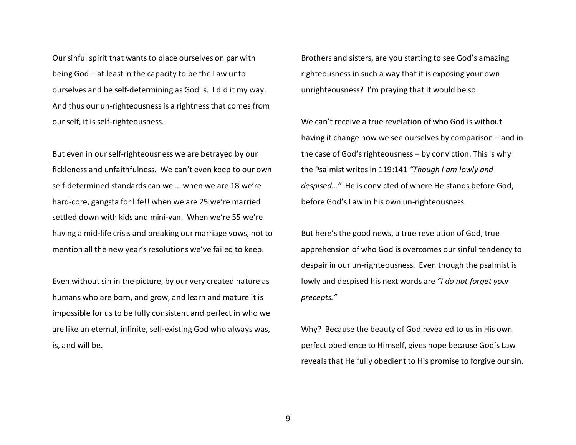Our sinful spirit that wants to place ourselves on par with being God – at least in the capacity to be the Law unto ourselves and be self-determining as God is. I did it my way. And thus our un-righteousness is a rightness that comes from our self, it is self-righteousness.

But even in our self-righteousness we are betrayed by our fickleness and unfaithfulness. We can't even keep to our own self-determined standards can we… when we are 18 we're hard-core, gangsta for life!! when we are 25 we're married settled down with kids and mini-van. When we're 55 we're having a mid-life crisis and breaking our marriage vows, not to mention all the new year's resolutions we've failed to keep.

Even without sin in the picture, by our very created nature as humans who are born, and grow, and learn and mature it is impossible for us to be fully consistent and perfect in who we are like an eternal, infinite, self-existing God who always was, is, and will be.

Brothers and sisters, are you starting to see God's amazing righteousness in such a way that it is exposing your own unrighteousness? I'm praying that it would be so.

We can't receive a true revelation of who God is without having it change how we see ourselves by comparison – and in the case of God's righteousness – by conviction. This is why the Psalmist writes in 119:141 *"Though I am lowly and despised…"* He is convicted of where He stands before God, before God's Law in his own un-righteousness.

But here's the good news, a true revelation of God, true apprehension of who God is overcomes our sinful tendency to despair in our un-righteousness. Even though the psalmist is lowly and despised his next words are *"I do not forget your precepts."*

Why? Because the beauty of God revealed to us in His own perfect obedience to Himself, gives hope because God's Law reveals that He fully obedient to His promise to forgive our sin.